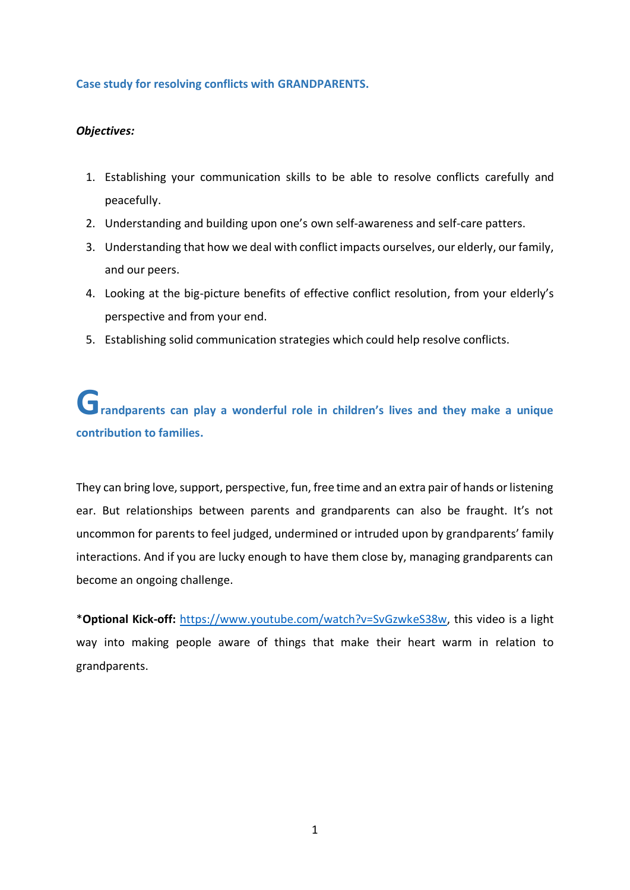## **Case study for resolving conflicts with GRANDPARENTS.**

# *Objectives:*

- 1. Establishing your communication skills to be able to resolve conflicts carefully and peacefully.
- 2. Understanding and building upon one's own self-awareness and self-care patters.
- 3. Understanding that how we deal with conflict impacts ourselves, our elderly, our family, and our peers.
- 4. Looking at the big-picture benefits of effective conflict resolution, from your elderly's perspective and from your end.
- 5. Establishing solid communication strategies which could help resolve conflicts.

# randparents can play a wonderful role in children's lives and they make a unique **contribution to families.**

They can bring love, support, perspective, fun, free time and an extra pair of hands or listening ear. But relationships between parents and grandparents can also be fraught. It's not uncommon for parents to feel judged, undermined or intruded upon by grandparents' family interactions. And if you are lucky enough to have them close by, managing grandparents can become an ongoing challenge.

\***Optional Kick-off:** [https://www.youtube.com/watch?v=SvGzwkeS38w,](https://www.youtube.com/watch?v=SvGzwkeS38w) this video is a light way into making people aware of things that make their heart warm in relation to grandparents.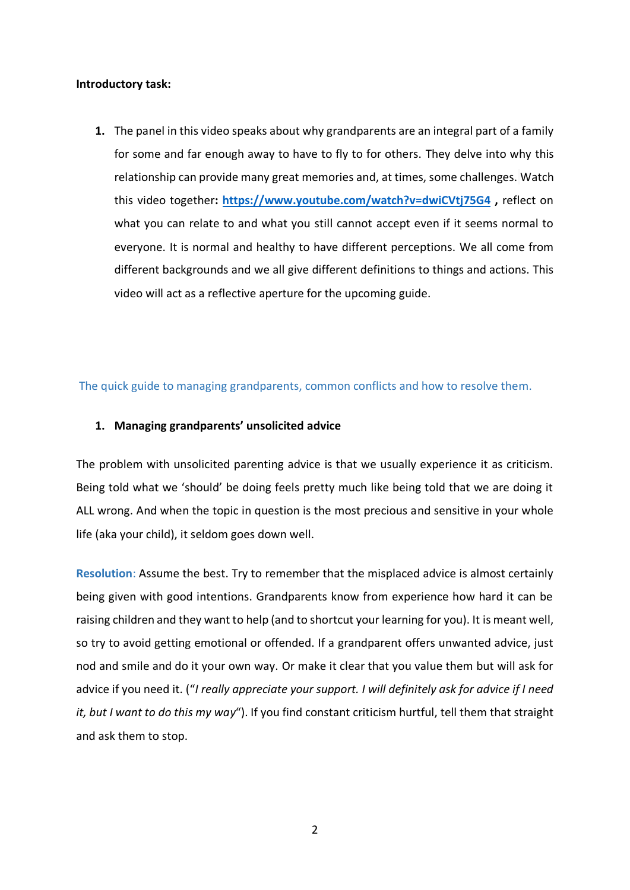#### **Introductory task:**

**1.** The panel in this video speaks about why grandparents are an integral part of a family for some and far enough away to have to fly to for others. They delve into why this relationship can provide many great memories and, at times, some challenges. Watch this video together**: <https://www.youtube.com/watch?v=dwiCVtj75G4> ,** reflect on what you can relate to and what you still cannot accept even if it seems normal to everyone. It is normal and healthy to have different perceptions. We all come from different backgrounds and we all give different definitions to things and actions. This video will act as a reflective aperture for the upcoming guide.

The quick guide to managing grandparents, common conflicts and how to resolve them.

## **1. Managing grandparents' unsolicited advice**

The problem with unsolicited parenting advice is that we usually experience it as criticism. Being told what we 'should' be doing feels pretty much like being told that we are doing it ALL wrong. And when the topic in question is the most precious and sensitive in your whole life (aka your child), it seldom goes down well.

**Resolution**: Assume the best. Try to remember that the misplaced advice is almost certainly being given with good intentions. Grandparents know from experience how hard it can be raising children and they want to help (and to shortcut your learning for you). It is meant well, so try to avoid getting emotional or offended. If a grandparent offers unwanted advice, just nod and smile and do it your own way. Or make it clear that you value them but will ask for advice if you need it. ("*I really appreciate your support. I will definitely ask for advice if I need it, but I want to do this my way*"). If you find constant criticism hurtful, tell them that straight and ask them to stop.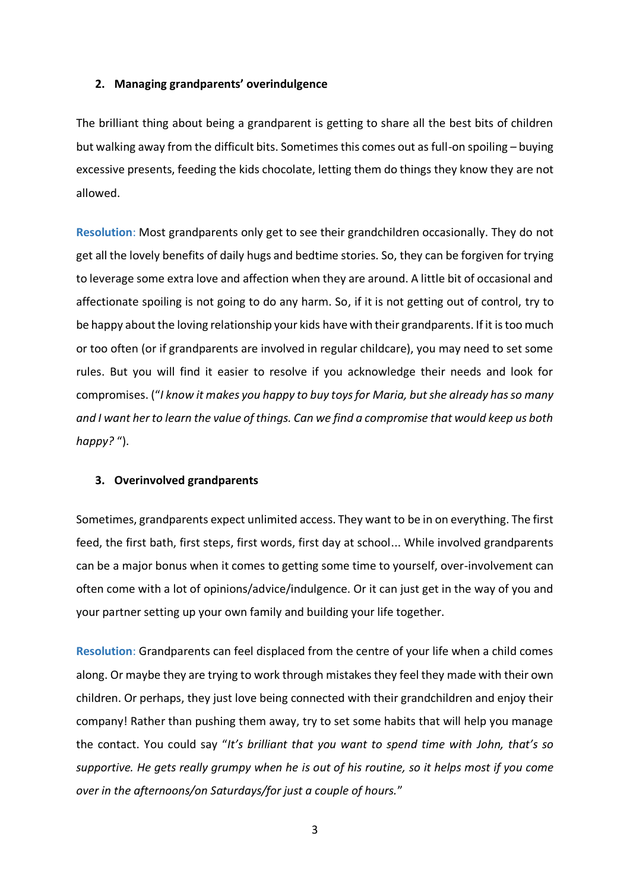## **2. Managing grandparents' overindulgence**

The brilliant thing about being a grandparent is getting to share all the best bits of children but walking away from the difficult bits. Sometimes this comes out as full-on spoiling – buying excessive presents, feeding the kids chocolate, letting them do things they know they are not allowed.

**Resolution**: Most grandparents only get to see their grandchildren occasionally. They do not get all the lovely benefits of daily hugs and bedtime stories. So, they can be forgiven for trying to leverage some extra love and affection when they are around. A little bit of occasional and affectionate spoiling is not going to do any harm. So, if it is not getting out of control, try to be happy about the loving relationship your kids have with their grandparents. If it is too much or too often (or if grandparents are involved in regular childcare), you may need to set some rules. But you will find it easier to resolve if you acknowledge their needs and look for compromises. ("*I know it makes you happy to buy toys for Maria, but she already has so many and I want her to learn the value of things. Can we find a compromise that would keep us both happy?* ").

#### **3. Overinvolved grandparents**

Sometimes, grandparents expect unlimited access. They want to be in on everything. The first feed, the first bath, first steps, first words, first day at school... While involved grandparents can be a major bonus when it comes to getting some time to yourself, over-involvement can often come with a lot of opinions/advice/indulgence. Or it can just get in the way of you and your partner setting up your own family and building your life together.

**Resolution**: Grandparents can feel displaced from the centre of your life when a child comes along. Or maybe they are trying to work through mistakes they feel they made with their own children. Or perhaps, they just love being connected with their grandchildren and enjoy their company! Rather than pushing them away, try to set some habits that will help you manage the contact. You could say "*It's brilliant that you want to spend time with John, that's so supportive. He gets really grumpy when he is out of his routine, so it helps most if you come over in the afternoons/on Saturdays/for just a couple of hours.*"

3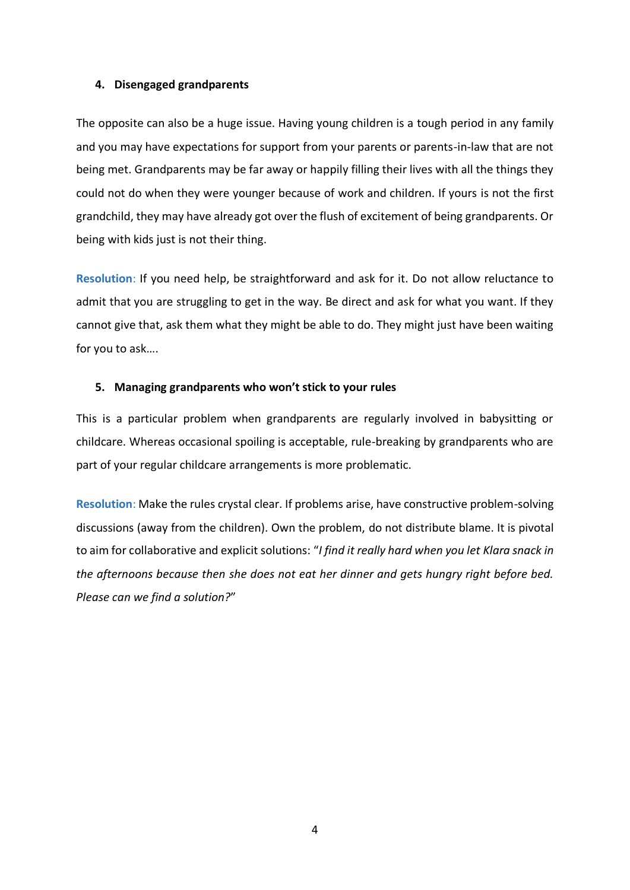#### **4. Disengaged grandparents**

The opposite can also be a huge issue. Having young children is a tough period in any family and you may have expectations for support from your parents or parents-in-law that are not being met. Grandparents may be far away or happily filling their lives with all the things they could not do when they were younger because of work and children. If yours is not the first grandchild, they may have already got over the flush of excitement of being grandparents. Or being with kids just is not their thing.

**Resolution**: If you need help, be straightforward and ask for it. Do not allow reluctance to admit that you are struggling to get in the way. Be direct and ask for what you want. If they cannot give that, ask them what they might be able to do. They might just have been waiting for you to ask….

#### **5. Managing grandparents who won't stick to your rules**

This is a particular problem when grandparents are regularly involved in babysitting or childcare. Whereas occasional spoiling is acceptable, rule-breaking by grandparents who are part of your regular childcare arrangements is more problematic.

**Resolution**: Make the rules crystal clear. If problems arise, have constructive problem-solving discussions (away from the children). Own the problem, do not distribute blame. It is pivotal to aim for collaborative and explicit solutions: "*I find it really hard when you let Klara snack in the afternoons because then she does not eat her dinner and gets hungry right before bed. Please can we find a solution?*"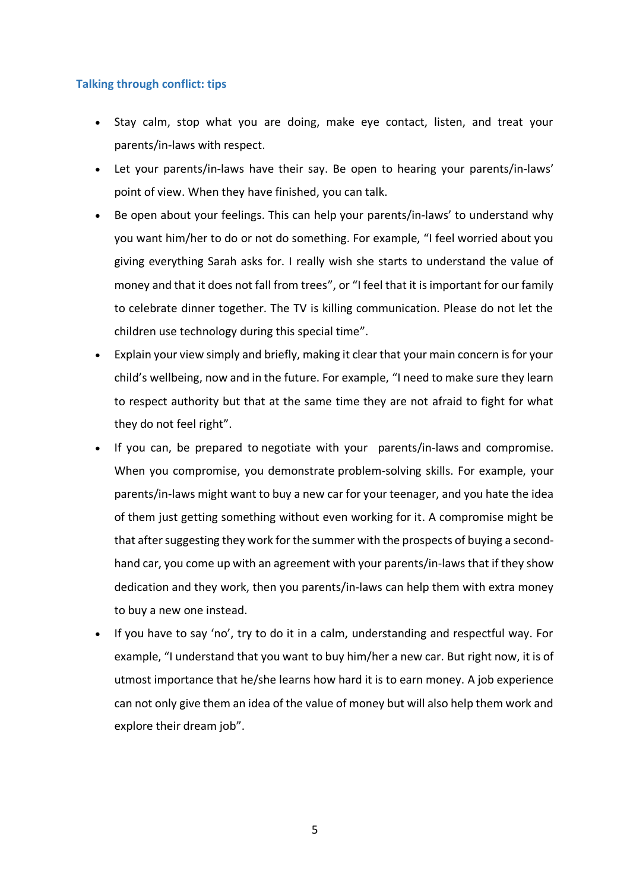## **Talking through conflict: tips**

- Stay calm, stop what you are doing, make eye contact, listen, and treat your parents/in-laws with respect.
- Let your parents/in-laws have their say. Be open to hearing your parents/in-laws' point of view. When they have finished, you can talk.
- Be open about your feelings. This can help your parents/in-laws' to understand why you want him/her to do or not do something. For example, "I feel worried about you giving everything Sarah asks for. I really wish she starts to understand the value of money and that it does not fall from trees", or "I feel that it is important for our family to celebrate dinner together. The TV is killing communication. Please do not let the children use technology during this special time".
- Explain your view simply and briefly, making it clear that your main concern is for your child's wellbeing, now and in the future. For example, "I need to make sure they learn to respect authority but that at the same time they are not afraid to fight for what they do not feel right".
- If you can, be prepared to [negotiate with your](https://raisingchildren.net.au/teens/communicating-relationships/communicating/negotiating) parents/in-laws and compromise. When you compromise, you demonstrate [problem-solving skills.](https://raisingchildren.net.au/teens/behaviour/encouraging-good-behaviour/problem-solving-steps) For example, your parents/in-laws might want to buy a new car for your teenager, and you hate the idea of them just getting something without even working for it. A compromise might be that after suggesting they work for the summer with the prospects of buying a secondhand car, you come up with an agreement with your parents/in-laws that if they show dedication and they work, then you parents/in-laws can help them with extra money to buy a new one instead.
- If you have to say 'no', try to do it in a calm, understanding and respectful way. For example, "I understand that you want to buy him/her a new car. But right now, it is of utmost importance that he/she learns how hard it is to earn money. A job experience can not only give them an idea of the value of money but will also help them work and explore their dream job".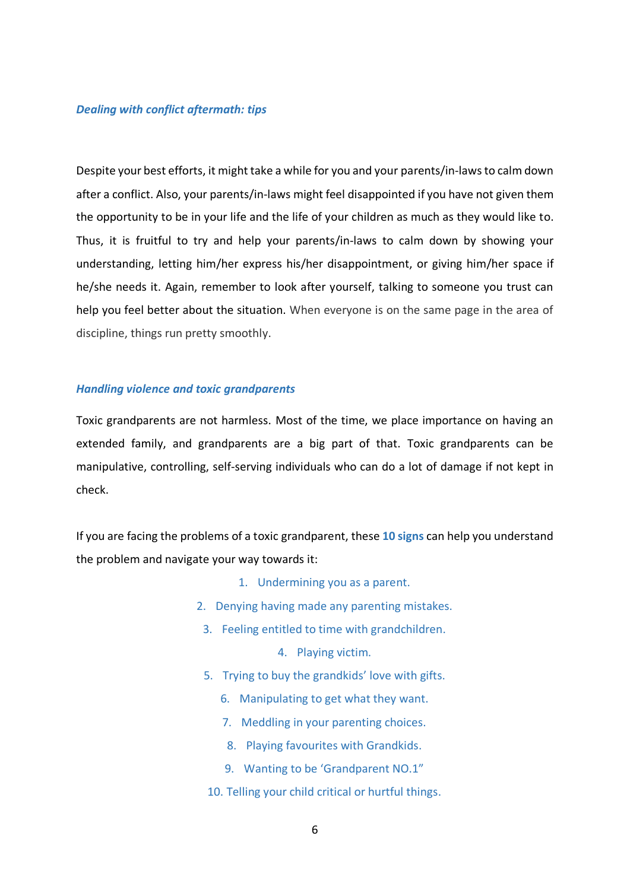#### *Dealing with conflict aftermath: tips*

Despite your best efforts, it might take a while for you and your parents/in-lawsto calm down after a conflict. Also, your parents/in-laws might feel disappointed if you have not given them the opportunity to be in your life and the life of your children as much as they would like to. Thus, it is fruitful to try and help your parents/in-laws to calm down by showing your understanding, letting him/her express his/her disappointment, or giving him/her space if he/she needs it. Again, remember to look after yourself, talking to someone you trust can help you feel better about the situation. When everyone is on the same page in the area of discipline, things run pretty smoothly.

#### *Handling violence and toxic grandparents*

Toxic grandparents are not harmless. Most of the time, we place importance on having an extended family, and grandparents are a big part of that. Toxic grandparents can be manipulative, controlling, self-serving individuals who can do a lot of damage if not kept in check.

If you are facing the problems of a toxic grandparent, these **10 signs** can help you understand the problem and navigate your way towards it:

- 1. Undermining you as a parent.
- 2. Denying having made any parenting mistakes.
- 3. Feeling entitled to time with grandchildren.
	- 4. Playing victim.
- 5. Trying to buy the grandkids' love with gifts.
	- 6. Manipulating to get what they want.
	- 7. Meddling in your parenting choices.
	- 8. Playing favourites with Grandkids.
	- 9. Wanting to be 'Grandparent NO.1"
- 10. Telling your child critical or hurtful things.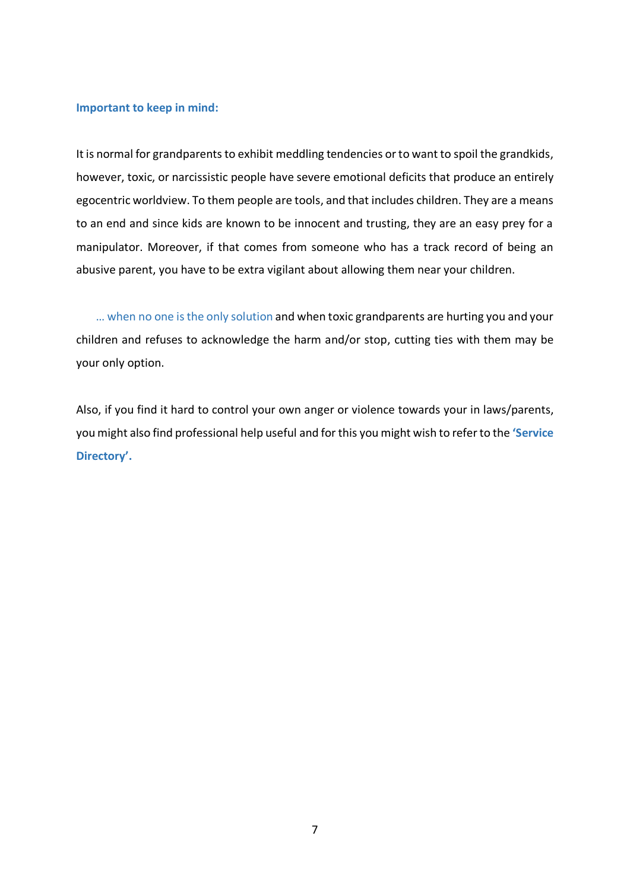#### **Important to keep in mind:**

It is normal for grandparents to exhibit meddling tendencies or to want to spoil the grandkids, however, toxic, or narcissistic people have severe emotional deficits that produce an entirely egocentric worldview. To them people are tools, and that includes children. They are a means to an end and since kids are known to be innocent and trusting, they are an easy prey for a manipulator. Moreover, if that comes from someone who has a track record of being an abusive parent, you have to be extra vigilant about allowing them near your children.

 … when no one is the only solution and when toxic grandparents are hurting you and your children and refuses to acknowledge the harm and/or stop, cutting ties with them may be your only option.

Also, if you find it hard to control your own anger or violence towards your in laws/parents, you might also find professional help useful and for this you might wish to refer to the **'Service Directory'.**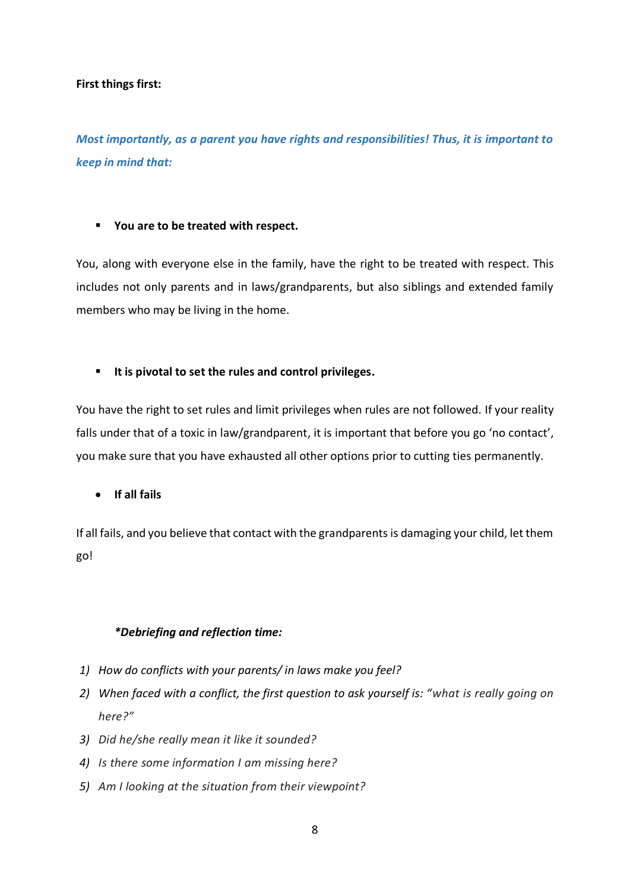## **First things first:**

*Most importantly, as a parent you have rights and responsibilities! Thus, it is important to keep in mind that:* 

# ▪ **You are to be treated with respect.**

You, along with everyone else in the family, have the right to be treated with respect. This includes not only parents and in laws/grandparents, but also siblings and extended family members who may be living in the home.

# ▪ **It is pivotal to set the rules and control privileges.**

You have the right to set rules and limit privileges when rules are not followed. If your reality falls under that of a toxic in law/grandparent, it is important that before you go 'no contact', you make sure that you have exhausted all other options prior to cutting ties permanently.

• **If all fails**

If all fails, and you believe that contact with the grandparents is damaging your child, let them go!

# *\*Debriefing and reflection time:*

- *1) How do conflicts with your parents/ in laws make you feel?*
- *2) When faced with a conflict, the first question to ask yourself is: "what is really going on here?"*
- *3) Did he/she really mean it like it sounded?*
- *4) Is there some information I am missing here?*
- *5) Am I looking at the situation from their viewpoint?*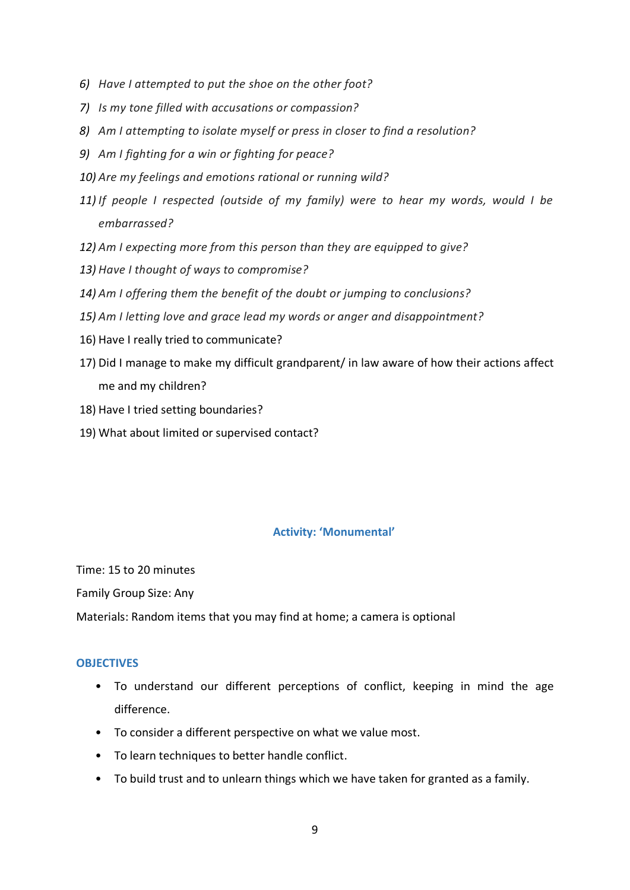- *6) Have I attempted to put the shoe on the other foot?*
- *7) Is my tone filled with accusations or compassion?*
- *8) Am I attempting to isolate myself or press in closer to find a resolution?*
- *9) Am I fighting for a win or fighting for peace?*
- *10) Are my feelings and emotions rational or running wild?*
- *11) If people I respected (outside of my family) were to hear my words, would I be embarrassed?*
- *12) Am I expecting more from this person than they are equipped to give?*
- *13) Have I thought of ways to compromise?*
- *14) Am I offering them the benefit of the doubt or jumping to conclusions?*
- *15) Am I letting love and grace lead my words or anger and disappointment?*
- 16) Have I really tried to communicate?
- 17) Did I manage to make my difficult grandparent/ in law aware of how their actions affect me and my children?
- 18) Have I tried setting boundaries?
- 19) What about limited or supervised contact?

# **Activity: 'Monumental'**

Time: 15 to 20 minutes

Family Group Size: Any

Materials: Random items that you may find at home; a camera is optional

## **OBJECTIVES**

- To understand our different perceptions of conflict, keeping in mind the age difference.
- To consider a different perspective on what we value most.
- To learn techniques to better handle conflict.
- To build trust and to unlearn things which we have taken for granted as a family.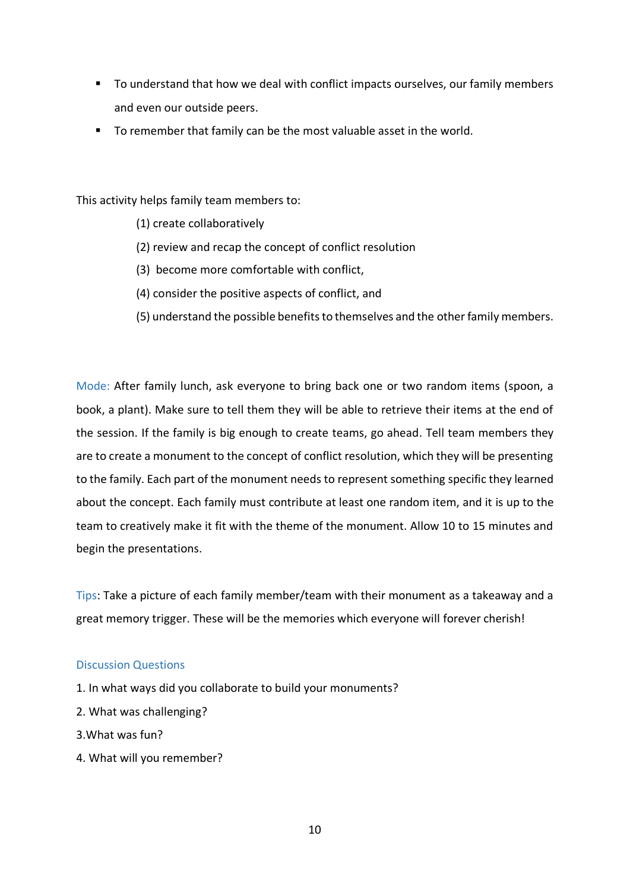- To understand that how we deal with conflict impacts ourselves, our family members and even our outside peers.
- To remember that family can be the most valuable asset in the world.

This activity helps family team members to:

- (1) create collaboratively
- (2) review and recap the concept of conflict resolution
- (3) become more comfortable with conflict,
- (4) consider the positive aspects of conflict, and
- (5) understand the possible benefits to themselves and the other family members.

Mode: After family lunch, ask everyone to bring back one or two random items (spoon, a book, a plant). Make sure to tell them they will be able to retrieve their items at the end of the session. If the family is big enough to create teams, go ahead. Tell team members they are to create a monument to the concept of conflict resolution, which they will be presenting to the family. Each part of the monument needs to represent something specific they learned about the concept. Each family must contribute at least one random item, and it is up to the team to creatively make it fit with the theme of the monument. Allow 10 to 15 minutes and begin the presentations.

Tips: Take a picture of each family member/team with their monument as a takeaway and a great memory trigger. These will be the memories which everyone will forever cherish!

#### Discussion Questions

- 1. In what ways did you collaborate to build your monuments?
- 2. What was challenging?
- 3.What was fun?
- 4. What will you remember?

10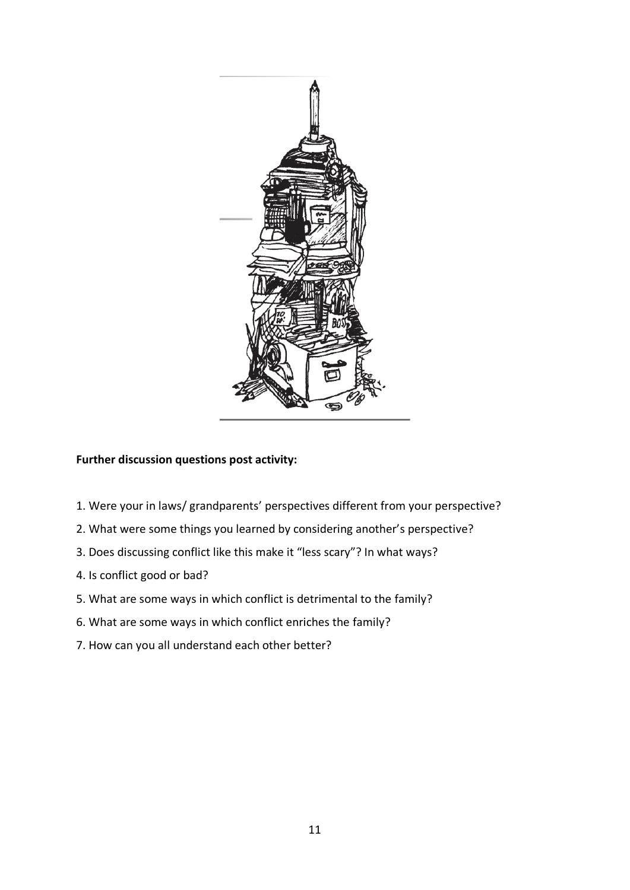

# **Further discussion questions post activity:**

- 1. Were your in laws/ grandparents' perspectives different from your perspective?
- 2. What were some things you learned by considering another's perspective?
- 3. Does discussing conflict like this make it "less scary"? In what ways?
- 4. Is conflict good or bad?
- 5. What are some ways in which conflict is detrimental to the family?
- 6. What are some ways in which conflict enriches the family?
- 7. How can you all understand each other better?